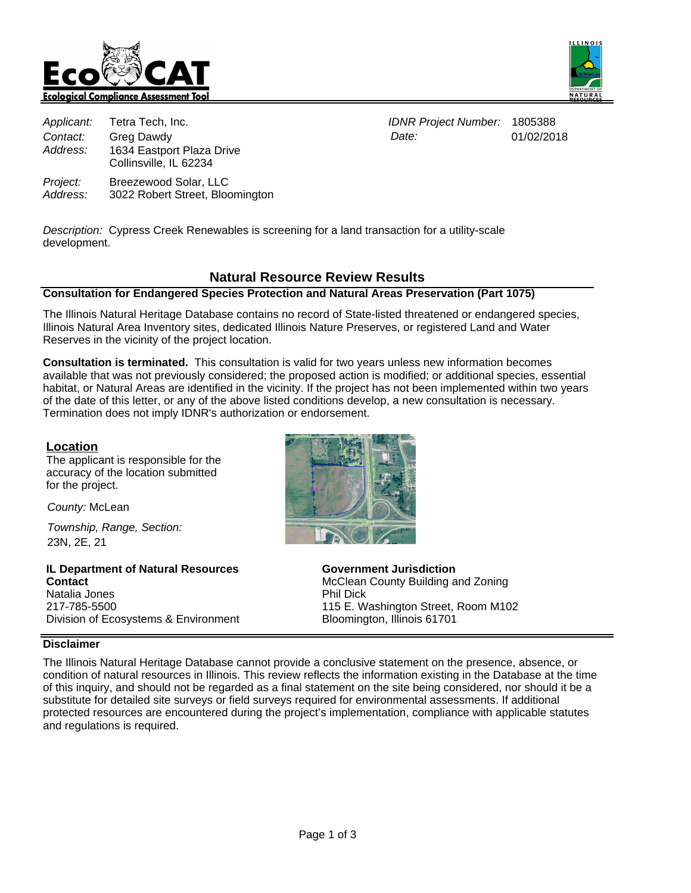



|          | Applicant: Tetra Tech, Inc.                         | IDNR Project Number: 1805388 |          |
|----------|-----------------------------------------------------|------------------------------|----------|
| Contact: | Grea Dawdy                                          | Date:                        | 01/02/20 |
| Address: | 1634 Eastport Plaza Drive<br>Collinsville, IL 62234 |                              |          |
| Project: | Breezewood Solar, LLC                               |                              |          |

3022 Robert Street, Bloomington

Date:

01/02/2018

Description: Cypress Creek Renewables is screening for a land transaction for a utility-scale

# **Natural Resource Review Results**

## **Consultation for Endangered Species Protection and Natural Areas Preservation (Part 1075)**

The Illinois Natural Heritage Database contains no record of State-listed threatened or endangered species, Illinois Natural Area Inventory sites, dedicated Illinois Nature Preserves, or registered Land and Water Reserves in the vicinity of the project location.

**Consultation is terminated.** This consultation is valid for two years unless new information becomes available that was not previously considered; the proposed action is modified; or additional species, essential habitat, or Natural Areas are identified in the vicinity. If the project has not been implemented within two years of the date of this letter, or any of the above listed conditions develop, a new consultation is necessary. Termination does not imply IDNR's authorization or endorsement.

#### **Location**

Address:

development.

The applicant is responsible for the accuracy of the location submitted for the project.

County: McLean

Township, Range, Section: 23N, 2E, 21

**IL Department of Natural Resources Contact** Natalia Jones 217-785-5500 Division of Ecosystems & Environment



**Government Jurisdiction** McClean County Building and Zoning Phil Dick 115 E. Washington Street, Room M102 Bloomington, Illinois 61701

#### **Disclaimer**

The Illinois Natural Heritage Database cannot provide a conclusive statement on the presence, absence, or condition of natural resources in Illinois. This review reflects the information existing in the Database at the time of this inquiry, and should not be regarded as a final statement on the site being considered, nor should it be a substitute for detailed site surveys or field surveys required for environmental assessments. If additional protected resources are encountered during the project's implementation, compliance with applicable statutes and regulations is required.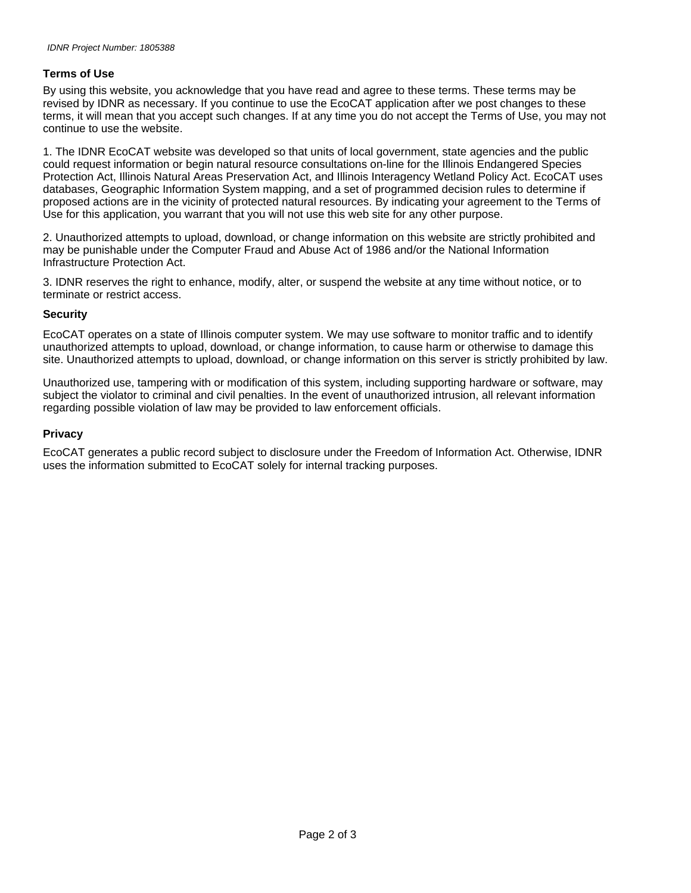### **Terms of Use**

By using this website, you acknowledge that you have read and agree to these terms. These terms may be revised by IDNR as necessary. If you continue to use the EcoCAT application after we post changes to these terms, it will mean that you accept such changes. If at any time you do not accept the Terms of Use, you may not continue to use the website.

1. The IDNR EcoCAT website was developed so that units of local government, state agencies and the public could request information or begin natural resource consultations on-line for the Illinois Endangered Species Protection Act, Illinois Natural Areas Preservation Act, and Illinois Interagency Wetland Policy Act. EcoCAT uses databases, Geographic Information System mapping, and a set of programmed decision rules to determine if proposed actions are in the vicinity of protected natural resources. By indicating your agreement to the Terms of Use for this application, you warrant that you will not use this web site for any other purpose.

2. Unauthorized attempts to upload, download, or change information on this website are strictly prohibited and may be punishable under the Computer Fraud and Abuse Act of 1986 and/or the National Information Infrastructure Protection Act.

3. IDNR reserves the right to enhance, modify, alter, or suspend the website at any time without notice, or to terminate or restrict access.

#### **Security**

EcoCAT operates on a state of Illinois computer system. We may use software to monitor traffic and to identify unauthorized attempts to upload, download, or change information, to cause harm or otherwise to damage this site. Unauthorized attempts to upload, download, or change information on this server is strictly prohibited by law.

Unauthorized use, tampering with or modification of this system, including supporting hardware or software, may subject the violator to criminal and civil penalties. In the event of unauthorized intrusion, all relevant information regarding possible violation of law may be provided to law enforcement officials.

#### **Privacy**

EcoCAT generates a public record subject to disclosure under the Freedom of Information Act. Otherwise, IDNR uses the information submitted to EcoCAT solely for internal tracking purposes.